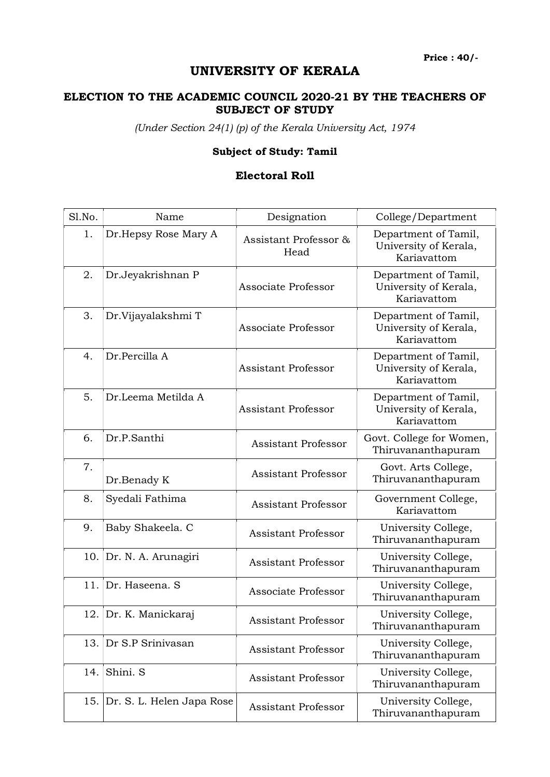Price : 40/-

## UNIVERSITY OF KERALA

## ELECTION TO THE ACADEMIC COUNCIL 2020-21 BY THE TEACHERS OF SUBJECT OF STUDY

(Under Section 24(1) (p) of the Kerala University Act, 1974

## Subject of Study: Tamil

## Electoral Roll

| Sl.No. | Name                      | Designation                   | College/Department                                           |
|--------|---------------------------|-------------------------------|--------------------------------------------------------------|
| 1.     | Dr.Hepsy Rose Mary A      | Assistant Professor &<br>Head | Department of Tamil,<br>University of Kerala,<br>Kariavattom |
| 2.     | Dr.Jeyakrishnan P         | Associate Professor           | Department of Tamil,<br>University of Kerala,<br>Kariavattom |
| 3.     | Dr.Vijayalakshmi T        | Associate Professor           | Department of Tamil,<br>University of Kerala,<br>Kariavattom |
| 4.     | Dr.Percilla A             | <b>Assistant Professor</b>    | Department of Tamil,<br>University of Kerala,<br>Kariavattom |
| 5.     | Dr.Leema Metilda A        | <b>Assistant Professor</b>    | Department of Tamil,<br>University of Kerala,<br>Kariavattom |
| 6.     | Dr.P.Santhi               | <b>Assistant Professor</b>    | Govt. College for Women,<br>Thiruvananthapuram               |
| 7.     | Dr.Benady K               | <b>Assistant Professor</b>    | Govt. Arts College,<br>Thiruvananthapuram                    |
| 8.     | Syedali Fathima           | <b>Assistant Professor</b>    | Government College,<br>Kariavattom                           |
| 9.     | Baby Shakeela. C          | <b>Assistant Professor</b>    | University College,<br>Thiruvananthapuram                    |
|        | 10. Dr. N. A. Arunagiri   | <b>Assistant Professor</b>    | University College,<br>Thiruvananthapuram                    |
| 11.    | Dr. Haseena. S            | Associate Professor           | University College,<br>Thiruvananthapuram                    |
| 12.    | Dr. K. Manickaraj         | Assistant Professor           | University College,<br>Thiruvananthapuram                    |
| 13.    | Dr S.P Srinivasan         | <b>Assistant Professor</b>    | University College,<br>Thiruvananthapuram                    |
| 14.    | Shini. S                  | <b>Assistant Professor</b>    | University College,<br>Thiruvananthapuram                    |
| 15.    | Dr. S. L. Helen Japa Rose | Assistant Professor           | University College,<br>Thiruvananthapuram                    |